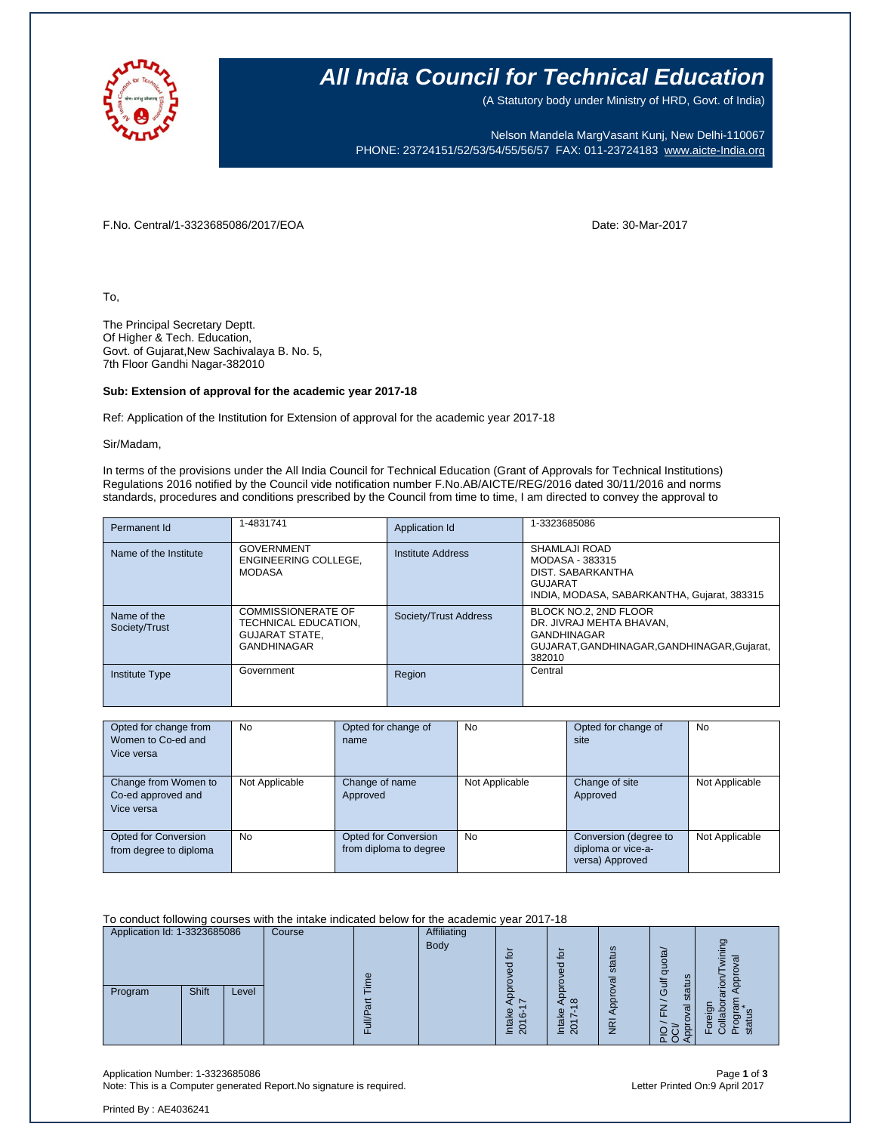

## **All India Council for Technical Education**

(A Statutory body under Ministry of HRD, Govt. of India)

Nelson Mandela MargVasant Kunj, New Delhi-110067 PHONE: 23724151/52/53/54/55/56/57 FAX: 011-23724183 [www.aicte-India.org](http://www.aicte-india.org/)

F.No. Central/1-3323685086/2017/EOA Date: 30-Mar-2017

To,

The Principal Secretary Deptt. Of Higher & Tech. Education, Govt. of Gujarat,New Sachivalaya B. No. 5, 7th Floor Gandhi Nagar-382010

#### **Sub: Extension of approval for the academic year 2017-18**

Ref: Application of the Institution for Extension of approval for the academic year 2017-18

Sir/Madam,

In terms of the provisions under the All India Council for Technical Education (Grant of Approvals for Technical Institutions) Regulations 2016 notified by the Council vide notification number F.No.AB/AICTE/REG/2016 dated 30/11/2016 and norms standards, procedures and conditions prescribed by the Council from time to time, I am directed to convey the approval to

| Permanent Id                 | 1-4831741                                                                                        | Application Id        | 1-3323685086                                                                                                                  |
|------------------------------|--------------------------------------------------------------------------------------------------|-----------------------|-------------------------------------------------------------------------------------------------------------------------------|
| Name of the Institute        | <b>GOVERNMENT</b><br>ENGINEERING COLLEGE.<br><b>MODASA</b>                                       | Institute Address     | SHAMLAJI ROAD<br>MODASA - 383315<br>DIST. SABARKANTHA<br>GUJARAT<br>INDIA, MODASA, SABARKANTHA, Gujarat, 383315               |
| Name of the<br>Society/Trust | <b>COMMISSIONERATE OF</b><br>TECHNICAL EDUCATION.<br><b>GUJARAT STATE,</b><br><b>GANDHINAGAR</b> | Society/Trust Address | BLOCK NO.2, 2ND FLOOR<br>DR. JIVRAJ MEHTA BHAVAN.<br><b>GANDHINAGAR</b><br>GUJARAT.GANDHINAGAR.GANDHINAGAR.Gujarat.<br>382010 |
| <b>Institute Type</b>        | Government                                                                                       | Region                | Central                                                                                                                       |

| Opted for change from  | <b>No</b>      | Opted for change of         | No             | Opted for change of   | No             |
|------------------------|----------------|-----------------------------|----------------|-----------------------|----------------|
| Women to Co-ed and     |                | name                        |                | site                  |                |
| Vice versa             |                |                             |                |                       |                |
|                        |                |                             |                |                       |                |
| Change from Women to   | Not Applicable | Change of name              | Not Applicable | Change of site        | Not Applicable |
| Co-ed approved and     |                | Approved                    |                | Approved              |                |
| Vice versa             |                |                             |                |                       |                |
|                        |                |                             |                |                       |                |
| Opted for Conversion   | No             | <b>Opted for Conversion</b> | No             | Conversion (degree to | Not Applicable |
| from degree to diploma |                | from diploma to degree      |                | diploma or vice-a-    |                |
|                        |                |                             |                | versa) Approved       |                |

To conduct following courses with the intake indicated below for the academic year 2017-18

| Application Id: 1-3323685086 |       |       | Course | Φ | Affiliating<br>Body | $\Omega$                                                       |                              | ഛ<br>statu<br>$\bar{\sigma}$ | <u>ුග්</u><br>$\sigma$<br>≌                          | ರಾ<br>ō       |
|------------------------------|-------|-------|--------|---|---------------------|----------------------------------------------------------------|------------------------------|------------------------------|------------------------------------------------------|---------------|
| Program                      | Shift | Level |        | ட |                     | ∼<br>Φ<br>$\overline{c}$<br>$\overline{\omega}$<br>≐<br>$\sim$ | $\infty$<br>Ċ<br>$\sim$<br>_ | ē<br>$\overline{g}$          | මි<br>tā<br>$\omega$<br>त्त<br>⇁<br>å<br>U<br>$\sim$ | ÷<br>පා<br>п. |

Application Number: 1-3323685086 Page **1** of **3** Note: This is a Computer generated Report.No signature is required.

Printed By : AE4036241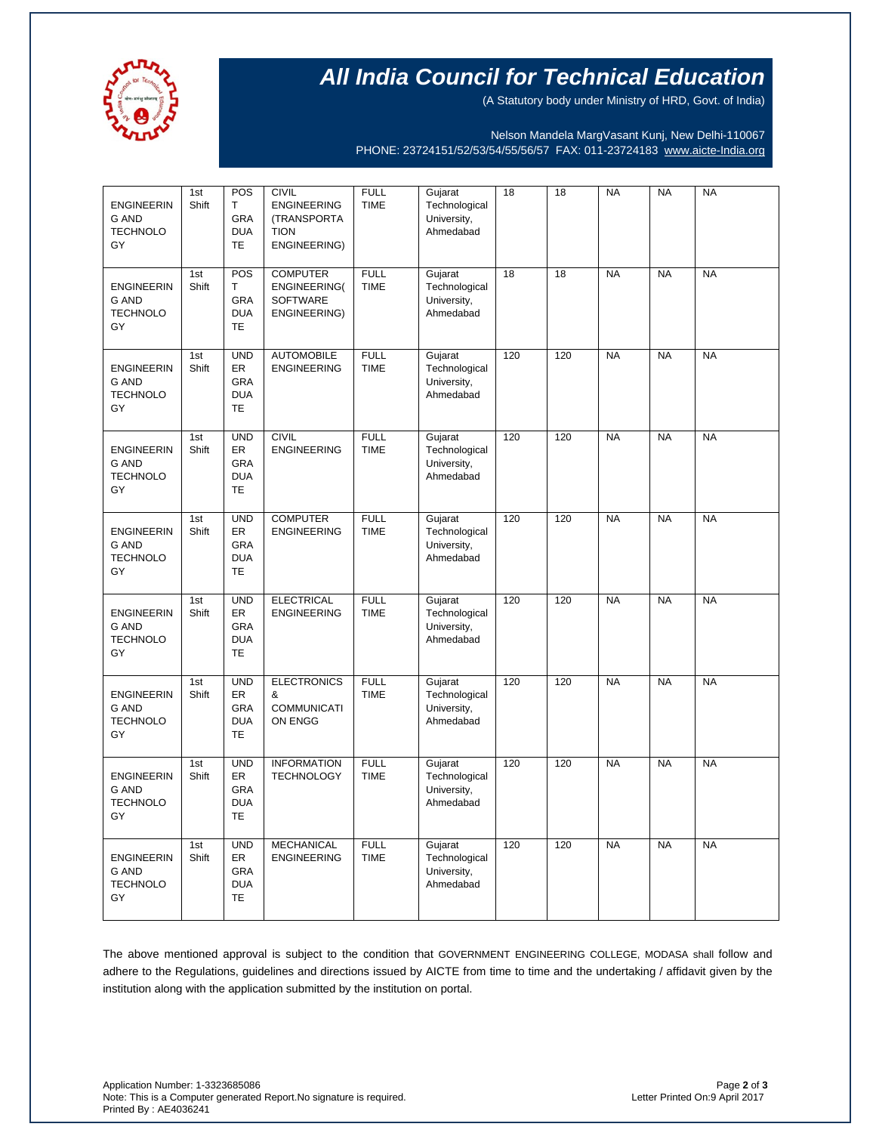

# **All India Council for Technical Education**

(A Statutory body under Ministry of HRD, Govt. of India)

Nelson Mandela MargVasant Kunj, New Delhi-110067 PHONE: 23724151/52/53/54/55/56/57 FAX: 011-23724183 [www.aicte-India.org](http://www.aicte-india.org/)

| <b>ENGINEERIN</b><br><b>G AND</b><br><b>TECHNOLO</b><br>GY | 1st<br>Shift | POS<br>T<br>GRA<br><b>DUA</b><br><b>TE</b>                       | <b>CIVIL</b><br><b>ENGINEERING</b><br>(TRANSPORTA<br><b>TION</b><br>ENGINEERING) | <b>FULL</b><br><b>TIME</b> | Gujarat<br>Technological<br>University,<br>Ahmedabad | 18  | $\overline{18}$ | <b>NA</b> | <b>NA</b> | <b>NA</b> |
|------------------------------------------------------------|--------------|------------------------------------------------------------------|----------------------------------------------------------------------------------|----------------------------|------------------------------------------------------|-----|-----------------|-----------|-----------|-----------|
| <b>ENGINEERIN</b><br><b>G AND</b><br><b>TECHNOLO</b><br>GY | 1st<br>Shift | POS<br>Т<br>GRA<br><b>DUA</b><br><b>TE</b>                       | <b>COMPUTER</b><br>ENGINEERING(<br><b>SOFTWARE</b><br>ENGINEERING)               | <b>FULL</b><br><b>TIME</b> | Gujarat<br>Technological<br>University,<br>Ahmedabad | 18  | 18              | <b>NA</b> | <b>NA</b> | <b>NA</b> |
| <b>ENGINEERIN</b><br><b>G AND</b><br><b>TECHNOLO</b><br>GY | 1st<br>Shift | <b>UND</b><br><b>ER</b><br><b>GRA</b><br><b>DUA</b><br><b>TE</b> | <b>AUTOMOBILE</b><br><b>ENGINEERING</b>                                          | <b>FULL</b><br><b>TIME</b> | Gujarat<br>Technological<br>University,<br>Ahmedabad | 120 | 120             | <b>NA</b> | <b>NA</b> | <b>NA</b> |
| <b>ENGINEERIN</b><br><b>G AND</b><br><b>TECHNOLO</b><br>GY | 1st<br>Shift | <b>UND</b><br>ER<br><b>GRA</b><br><b>DUA</b><br><b>TE</b>        | <b>CIVIL</b><br><b>ENGINEERING</b>                                               | <b>FULL</b><br><b>TIME</b> | Gujarat<br>Technological<br>University,<br>Ahmedabad | 120 | 120             | <b>NA</b> | <b>NA</b> | <b>NA</b> |
| <b>ENGINEERIN</b><br>G AND<br><b>TECHNOLO</b><br>GY        | 1st<br>Shift | <b>UND</b><br>ER<br><b>GRA</b><br><b>DUA</b><br><b>TE</b>        | <b>COMPUTER</b><br><b>ENGINEERING</b>                                            | <b>FULL</b><br><b>TIME</b> | Gujarat<br>Technological<br>University,<br>Ahmedabad | 120 | 120             | <b>NA</b> | <b>NA</b> | <b>NA</b> |
| <b>ENGINEERIN</b><br><b>G AND</b><br><b>TECHNOLO</b><br>GY | 1st<br>Shift | <b>UND</b><br>ER<br>GRA<br><b>DUA</b><br><b>TE</b>               | <b>ELECTRICAL</b><br><b>ENGINEERING</b>                                          | <b>FULL</b><br><b>TIME</b> | Gujarat<br>Technological<br>University,<br>Ahmedabad | 120 | 120             | <b>NA</b> | <b>NA</b> | <b>NA</b> |
| <b>ENGINEERIN</b><br>G AND<br><b>TECHNOLO</b><br>GY        | 1st<br>Shift | <b>UND</b><br>ER<br><b>GRA</b><br><b>DUA</b><br><b>TE</b>        | <b>ELECTRONICS</b><br>&<br><b>COMMUNICATI</b><br>ON ENGG                         | <b>FULL</b><br><b>TIME</b> | Gujarat<br>Technological<br>University,<br>Ahmedabad | 120 | 120             | <b>NA</b> | <b>NA</b> | <b>NA</b> |
| <b>ENGINEERIN</b><br><b>G AND</b><br><b>TECHNOLO</b><br>GY | 1st<br>Shift | <b>UND</b><br>ER<br>GRA<br><b>DUA</b><br>TE                      | <b>INFORMATION</b><br><b>TECHNOLOGY</b>                                          | <b>FULL</b><br><b>TIME</b> | Gujarat<br>Technological<br>University,<br>Ahmedabad | 120 | 120             | <b>NA</b> | <b>NA</b> | <b>NA</b> |
| <b>ENGINEERIN</b><br><b>G AND</b><br><b>TECHNOLO</b><br>GY | 1st<br>Shift | <b>UND</b><br>ER<br><b>GRA</b><br><b>DUA</b><br><b>TE</b>        | <b>MECHANICAL</b><br><b>ENGINEERING</b>                                          | <b>FULL</b><br><b>TIME</b> | Gujarat<br>Technological<br>University,<br>Ahmedabad | 120 | 120             | <b>NA</b> | <b>NA</b> | <b>NA</b> |

The above mentioned approval is subject to the condition that GOVERNMENT ENGINEERING COLLEGE, MODASA shall follow and adhere to the Regulations, guidelines and directions issued by AICTE from time to time and the undertaking / affidavit given by the institution along with the application submitted by the institution on portal.